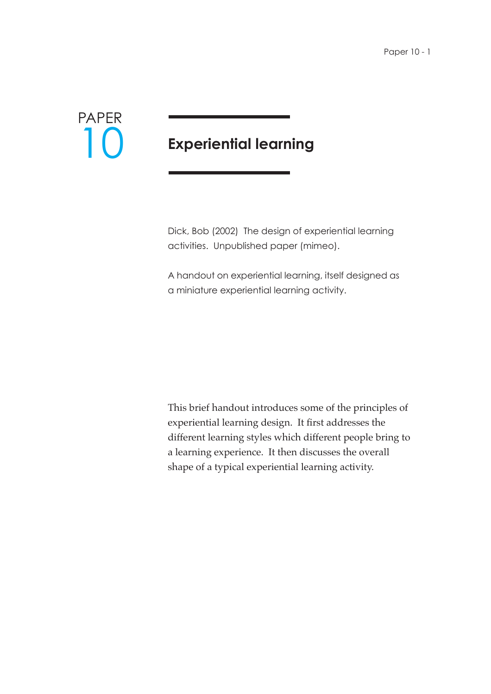

# **Experiential learning**

Dick, Bob (2002) The design of experiential learning activities. Unpublished paper (mimeo).

A handout on experiential learning, itself designed as a miniature experiential learning activity.

This brief handout introduces some of the principles of experiential learning design. It first addresses the different learning styles which different people bring to a learning experience. It then discusses the overall shape of a typical experiential learning activity.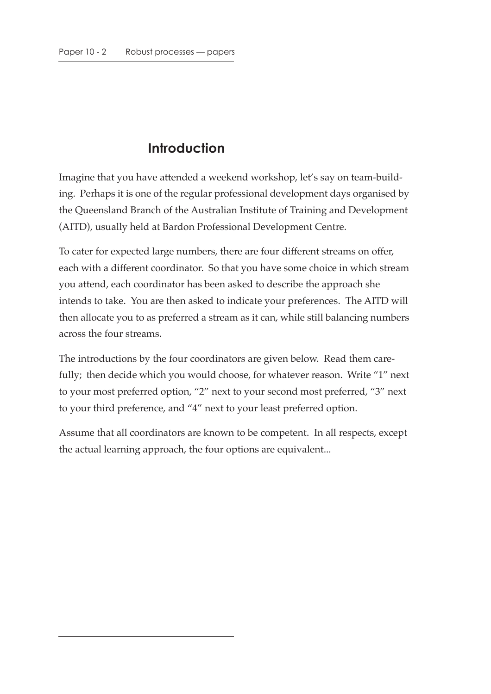## **Introduction**

Imagine that you have attended a weekend workshop, let's say on team-building. Perhaps it is one of the regular professional development days organised by the Queensland Branch of the Australian Institute of Training and Development (AITD), usually held at Bardon Professional Development Centre.

To cater for expected large numbers, there are four different streams on offer, each with a different coordinator. So that you have some choice in which stream you attend, each coordinator has been asked to describe the approach she intends to take. You are then asked to indicate your preferences. The AITD will then allocate you to as preferred a stream as it can, while still balancing numbers across the four streams.

The introductions by the four coordinators are given below. Read them carefully; then decide which you would choose, for whatever reason. Write "1" next to your most preferred option, "2" next to your second most preferred, "3" next to your third preference, and "4" next to your least preferred option.

Assume that all coordinators are known to be competent. In all respects, except the actual learning approach, the four options are equivalent...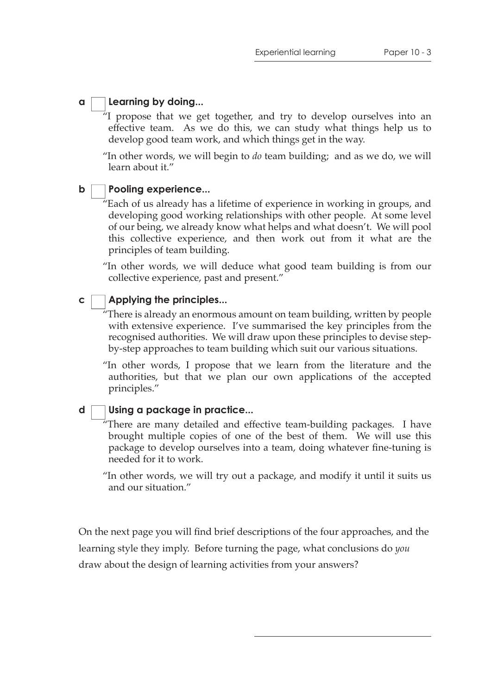#### **a Learning by doing...**

 $\tilde{H}$  propose that we get together, and try to develop ourselves into an effective team. As we do this, we can study what things help us to develop good team work, and which things get in the way.

"In other words, we will begin to *do* team building; and as we do, we will learn about it."

#### **b Pooling experience...**

 $\tilde{H}$  Each of us already has a lifetime of experience in working in groups, and developing good working relationships with other people. At some level of our being, we already know what helps and what doesn't. We will pool this collective experience, and then work out from it what are the principles of team building.

"In other words, we will deduce what good team building is from our collective experience, past and present."

#### **c Applying the principles...**

There is already an enormous amount on team building, written by people with extensive experience. I've summarised the key principles from the recognised authorities. We will draw upon these principles to devise stepby-step approaches to team building which suit our various situations.

"In other words, I propose that we learn from the literature and the authorities, but that we plan our own applications of the accepted principles."

### **Using a package in practice...**

**d**

 $\tilde{H}$ There are many detailed and effective team-building packages. I have brought multiple copies of one of the best of them. We will use this package to develop ourselves into a team, doing whatever fine-tuning is needed for it to work.

"In other words, we will try out a package, and modify it until it suits us and our situation."

On the next page you will find brief descriptions of the four approaches, and the learning style they imply. Before turning the page, what conclusions do *you* draw about the design of learning activities from your answers?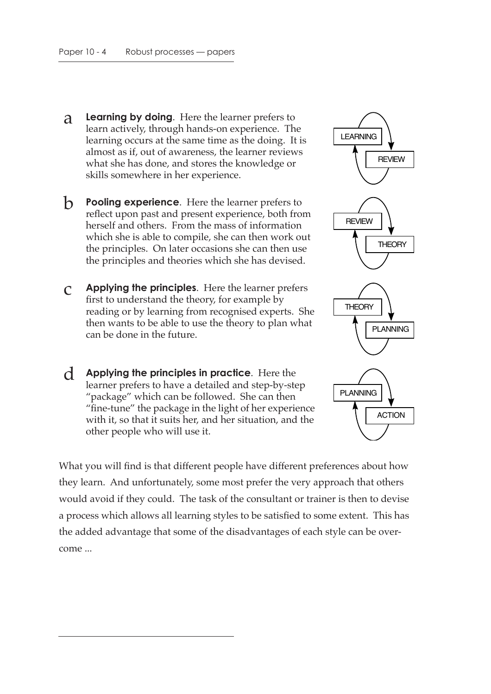- a **Learning by doing**. Here the learner prefers to learn actively, through hands-on experience. The learning occurs at the same time as the doing. It is almost as if, out of awareness, the learner reviews what she has done, and stores the knowledge or skills somewhere in her experience.
- **b Pooling experience**. Here the learner prefers to reflect upon past and present experience, both from herself and others. From the mass of information which she is able to compile, she can then work out the principles. On later occasions she can then use the principles and theories which she has devised.
- c **Applying the principles**. Here the learner prefers first to understand the theory, for example by reading or by learning from recognised experts. She then wants to be able to use the theory to plan what can be done in the future.
- d **Applying the principles in practice**. Here the learner prefers to have a detailed and step-by-step "package" which can be followed. She can then "fine-tune" the package in the light of her experience with it, so that it suits her, and her situation, and the other people who will use it.

What you will find is that different people have different preferences about how they learn. And unfortunately, some most prefer the very approach that others would avoid if they could. The task of the consultant or trainer is then to devise a process which allows all learning styles to be satisfied to some extent. This has the added advantage that some of the disadvantages of each style can be overcome ...

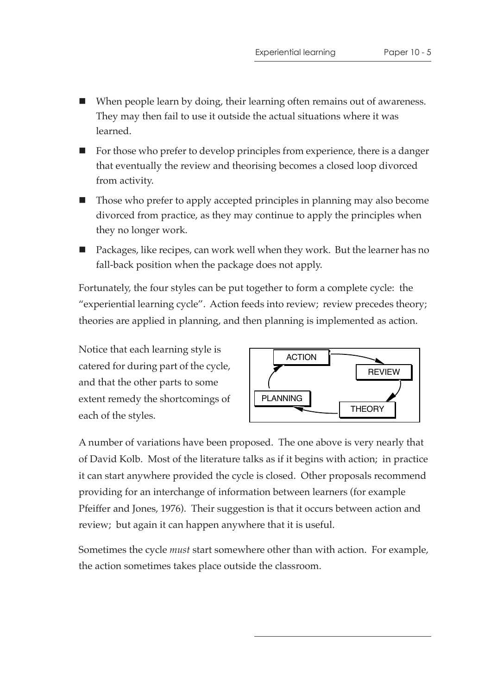- When people learn by doing, their learning often remains out of awareness. They may then fail to use it outside the actual situations where it was learned.
- For those who prefer to develop principles from experience, there is a danger that eventually the review and theorising becomes a closed loop divorced from activity.
- Those who prefer to apply accepted principles in planning may also become divorced from practice, as they may continue to apply the principles when they no longer work.
- Packages, like recipes, can work well when they work. But the learner has no fall-back position when the package does not apply.

Fortunately, the four styles can be put together to form a complete cycle: the "experiential learning cycle". Action feeds into review; review precedes theory; theories are applied in planning, and then planning is implemented as action.

Notice that each learning style is catered for during part of the cycle, and that the other parts to some extent remedy the shortcomings of each of the styles.



A number of variations have been proposed. The one above is very nearly that of David Kolb. Most of the literature talks as if it begins with action; in practice it can start anywhere provided the cycle is closed. Other proposals recommend providing for an interchange of information between learners (for example Pfeiffer and Jones, 1976). Their suggestion is that it occurs between action and review; but again it can happen anywhere that it is useful.

Sometimes the cycle *must* start somewhere other than with action. For example, the action sometimes takes place outside the classroom.